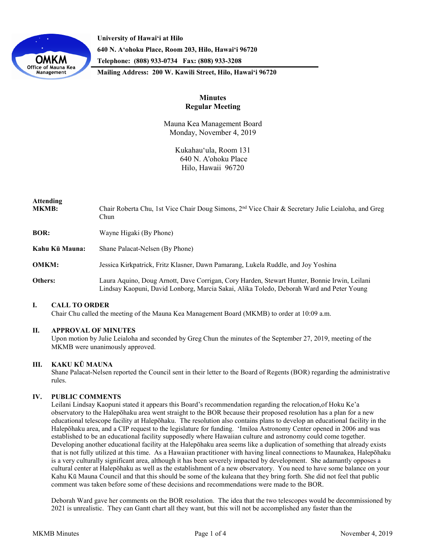

**University of Hawaiʻi at Hilo 640 N. A'ohoku Place, Room 203, Hilo, Hawai'i 96720 Telephone: (808) 933-0734 Fax: (808) 933-3208**

**Mailing Address: 200 W. Kawili Street, Hilo, Hawai'i 96720**

# **Minutes Regular Meeting**

Mauna Kea Management Board Monday, November 4, 2019

> Kukahauʻula, Room 131 640 N. A'ohoku Place Hilo, Hawaii 96720

# **Attending MKMB:** Chair Roberta Chu, 1st Vice Chair Doug Simons, 2<sup>nd</sup> Vice Chair & Secretary Julie Leialoha, and Greg Chun **BOR:** Wayne Higaki (By Phone) **Kahu Kū Mauna:** Shane Palacat-Nelsen (By Phone) **OMKM:** Jessica Kirkpatrick, Fritz Klasner, Dawn Pamarang, Lukela Ruddle, and Joy Yoshina **Others:** Laura Aquino, Doug Arnott, Dave Corrigan, Cory Harden, Stewart Hunter, Bonnie Irwin, Leilani Lindsay Kaopuni, David Lonborg, Marcia Sakai, Alika Toledo, Deborah Ward and Peter Young

### **I. CALL TO ORDER**

Chair Chu called the meeting of the Mauna Kea Management Board (MKMB) to order at 10:09 a.m.

### **II. APPROVAL OF MINUTES**

Upon motion by Julie Leialoha and seconded by Greg Chun the minutes of the September 27, 2019, meeting of the MKMB were unanimously approved.

### **III. KAKU KŪ MAUNA**

Shane Palacat-Nelsen reported the Council sent in their letter to the Board of Regents (BOR) regarding the administrative rules.

### **IV. PUBLIC COMMENTS**

Leilani Lindsay Kaopuni stated it appears this Board's recommendation regarding the relocation,of Hoku Ke'a observatory to the Halepōhaku area went straight to the BOR because their proposed resolution has a plan for a new educational telescope facility at Halepōhaku. The resolution also contains plans to develop an educational facility in the Halepōhaku area, and a CIP request to the legislature for funding. 'Imiloa Astronomy Center opened in 2006 and was established to be an educational facility supposedly where Hawaiian culture and astronomy could come together. Developing another educational facility at the Halepōhaku area seems like a duplication of something that already exists that is not fully utilized at this time. As a Hawaiian practitioner with having lineal connections to Maunakea, Halepōhaku is a very culturally significant area, although it has been severely impacted by development. She adamantly opposes a cultural center at Halepōhaku as well as the establishment of a new observatory. You need to have some balance on your Kahu Kū Mauna Council and that this should be some of the kuleana that they bring forth. She did not feel that public comment was taken before some of these decisions and recommendations were made to the BOR.

Deborah Ward gave her comments on the BOR resolution. The idea that the two telescopes would be decommissioned by 2021 is unrealistic. They can Gantt chart all they want, but this will not be accomplished any faster than the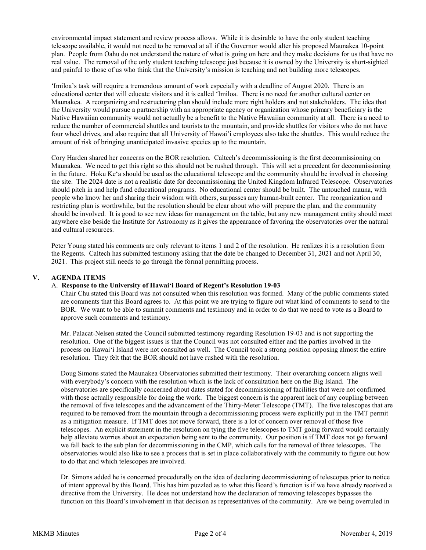environmental impact statement and review process allows. While it is desirable to have the only student teaching telescope available, it would not need to be removed at all if the Governor would alter his proposed Maunakea 10-point plan. People from Oahu do not understand the nature of what is going on here and they make decisions for us that have no real value. The removal of the only student teaching telescope just because it is owned by the University is short-sighted and painful to those of us who think that the University's mission is teaching and not building more telescopes.

'Imiloa's task will require a tremendous amount of work especially with a deadline of August 2020. There is an educational center that will educate visitors and it is called 'Imiloa. There is no need for another cultural center on Maunakea. A reorganizing and restructuring plan should include more right holders and not stakeholders. The idea that the University would pursue a partnership with an appropriate agency or organization whose primary beneficiary is the Native Hawaiian community would not actually be a benefit to the Native Hawaiian community at all. There is a need to reduce the number of commercial shuttles and tourists to the mountain, and provide shuttles for visitors who do not have four wheel drives, and also require that all University of Hawai'i employees also take the shuttles. This would reduce the amount of risk of bringing unanticipated invasive species up to the mountain.

Cory Harden shared her concerns on the BOR resolution. Caltech's decommissioning is the first decommissioning on Maunakea. We need to get this right so this should not be rushed through. This will set a precedent for decommissioning in the future. Hoku Keʻa should be used as the educational telescope and the community should be involved in choosing the site. The 2024 date is not a realistic date for decommissioning the United Kingdom Infrared Telescope. Observatories should pitch in and help fund educational programs. No educational center should be built. The untouched mauna, with people who know her and sharing their wisdom with others, surpasses any human-built center. The reorganization and restricting plan is worthwhile, but the resolution should be clear about who will prepare the plan, and the community should be involved. It is good to see new ideas for management on the table, but any new management entity should meet anywhere else beside the Institute for Astronomy as it gives the appearance of favoring the observatories over the natural and cultural resources.

Peter Young stated his comments are only relevant to items 1 and 2 of the resolution. He realizes it is a resolution from the Regents. Caltech has submitted testimony asking that the date be changed to December 31, 2021 and not April 30, 2021. This project still needs to go through the formal permitting process.

### **V. AGENDA ITEMS**

#### A. **Response to the University of Hawaiʻi Board of Regent's Resolution 19-03**

Chair Chu stated this Board was not consulted when this resolution was formed. Many of the public comments stated are comments that this Board agrees to. At this point we are trying to figure out what kind of comments to send to the BOR. We want to be able to summit comments and testimony and in order to do that we need to vote as a Board to approve such comments and testimony.

Mr. Palacat-Nelsen stated the Council submitted testimony regarding Resolution 19-03 and is not supporting the resolution. One of the biggest issues is that the Council was not consulted either and the parties involved in the process on Hawai'i Island were not consulted as well. The Council took a strong position opposing almost the entire resolution. They felt that the BOR should not have rushed with the resolution.

Doug Simons stated the Maunakea Observatories submitted their testimony. Their overarching concern aligns well with everybody's concern with the resolution which is the lack of consultation here on the Big Island. The observatories are specifically concerned about dates stated for decommissioning of facilities that were not confirmed with those actually responsible for doing the work. The biggest concern is the apparent lack of any coupling between the removal of five telescopes and the advancement of the Thirty-Meter Telescope (TMT). The five telescopes that are required to be removed from the mountain through a decommissioning process were explicitly put in the TMT permit as a mitigation measure. If TMT does not move forward, there is a lot of concern over removal of those five telescopes. An explicit statement in the resolution on tying the five telescopes to TMT going forward would certainly help alleviate worries about an expectation being sent to the community. Our position is if TMT does not go forward we fall back to the sub plan for decommissioning in the CMP, which calls for the removal of three telescopes. The observatories would also like to see a process that is set in place collaboratively with the community to figure out how to do that and which telescopes are involved.

Dr. Simons added he is concerned procedurally on the idea of declaring decommissioning of telescopes prior to notice of intent approval by this Board. This has him puzzled as to what this Board's function is if we have already received a directive from the University. He does not understand how the declaration of removing telescopes bypasses the function on this Board's involvement in that decision as representatives of the community. Are we being overruled in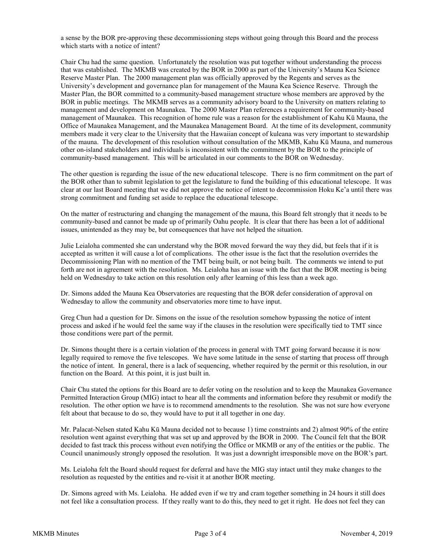a sense by the BOR pre-approving these decommissioning steps without going through this Board and the process which starts with a notice of intent?

Chair Chu had the same question. Unfortunately the resolution was put together without understanding the process that was established. The MKMB was created by the BOR in 2000 as part of the University's Mauna Kea Science Reserve Master Plan. The 2000 management plan was officially approved by the Regents and serves as the University's development and governance plan for management of the Mauna Kea Science Reserve. Through the Master Plan, the BOR committed to a community-based management structure whose members are approved by the BOR in public meetings. The MKMB serves as a community advisory board to the University on matters relating to management and development on Maunakea. The 2000 Master Plan references a requirement for community-based management of Maunakea. This recognition of home rule was a reason for the establishment of Kahu Kū Mauna, the Office of Maunakea Management, and the Maunakea Management Board. At the time of its development, community members made it very clear to the University that the Hawaiian concept of kuleana was very important to stewardship of the mauna. The development of this resolution without consultation of the MKMB, Kahu Kū Mauna, and numerous other on-island stakeholders and individuals is inconsistent with the commitment by the BOR to the principle of community-based management. This will be articulated in our comments to the BOR on Wednesday.

The other question is regarding the issue of the new educational telescope. There is no firm commitment on the part of the BOR other than to submit legislation to get the legislature to fund the building of this educational telescope. It was clear at our last Board meeting that we did not approve the notice of intent to decommission Hoku Ke'a until there was strong commitment and funding set aside to replace the educational telescope.

On the matter of restructuring and changing the management of the mauna, this Board felt strongly that it needs to be community-based and cannot be made up of primarily Oahu people. It is clear that there has been a lot of additional issues, unintended as they may be, but consequences that have not helped the situation.

Julie Leialoha commented she can understand why the BOR moved forward the way they did, but feels that if it is accepted as written it will cause a lot of complications. The other issue is the fact that the resolution overrides the Decommissioning Plan with no mention of the TMT being built, or not being built. The comments we intend to put forth are not in agreement with the resolution. Ms. Leialoha has an issue with the fact that the BOR meeting is being held on Wednesday to take action on this resolution only after learning of this less than a week ago.

Dr. Simons added the Mauna Kea Observatories are requesting that the BOR defer consideration of approval on Wednesday to allow the community and observatories more time to have input.

Greg Chun had a question for Dr. Simons on the issue of the resolution somehow bypassing the notice of intent process and asked if he would feel the same way if the clauses in the resolution were specifically tied to TMT since those conditions were part of the permit.

Dr. Simons thought there is a certain violation of the process in general with TMT going forward because it is now legally required to remove the five telescopes. We have some latitude in the sense of starting that process off through the notice of intent. In general, there is a lack of sequencing, whether required by the permit or this resolution, in our function on the Board. At this point, it is just built in.

Chair Chu stated the options for this Board are to defer voting on the resolution and to keep the Maunakea Governance Permitted Interaction Group (MIG) intact to hear all the comments and information before they resubmit or modify the resolution. The other option we have is to recommend amendments to the resolution. She was not sure how everyone felt about that because to do so, they would have to put it all together in one day.

Mr. Palacat-Nelsen stated Kahu Kū Mauna decided not to because 1) time constraints and 2) almost 90% of the entire resolution went against everything that was set up and approved by the BOR in 2000. The Council felt that the BOR decided to fast track this process without even notifying the Office or MKMB or any of the entities or the public. The Council unanimously strongly opposed the resolution. It was just a downright irresponsible move on the BOR's part.

Ms. Leialoha felt the Board should request for deferral and have the MIG stay intact until they make changes to the resolution as requested by the entities and re-visit it at another BOR meeting.

Dr. Simons agreed with Ms. Leialoha. He added even if we try and cram together something in 24 hours it still does not feel like a consultation process. If they really want to do this, they need to get it right. He does not feel they can